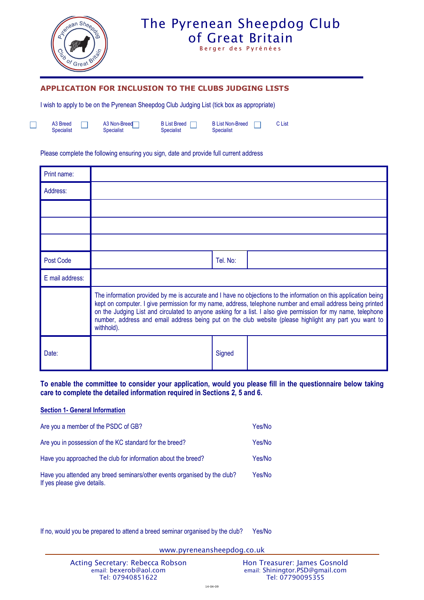

Berger des Pyrénées

### **APPLICATION FOR INCLUSION TO THE CLUBS JUDGING LISTS**

I wish to apply to be on the Pyrenean Sheepdog Club Judging List (tick box as appropriate)

A3 Breed Specialist

A3 Non-Breed<sup>-1</sup> ш Specialist

B List Breed  $\Box$ Specialist

B List Non-Breed  $\Box$ Specialist

C List

#### Please complete the following ensuring you sign, date and provide full current address

| Print name:     |                                                                                                                                                                                                                                                                                                                                                                                                                                                                         |          |  |
|-----------------|-------------------------------------------------------------------------------------------------------------------------------------------------------------------------------------------------------------------------------------------------------------------------------------------------------------------------------------------------------------------------------------------------------------------------------------------------------------------------|----------|--|
| Address:        |                                                                                                                                                                                                                                                                                                                                                                                                                                                                         |          |  |
|                 |                                                                                                                                                                                                                                                                                                                                                                                                                                                                         |          |  |
|                 |                                                                                                                                                                                                                                                                                                                                                                                                                                                                         |          |  |
|                 |                                                                                                                                                                                                                                                                                                                                                                                                                                                                         |          |  |
| Post Code       |                                                                                                                                                                                                                                                                                                                                                                                                                                                                         | Tel. No: |  |
| E mail address: |                                                                                                                                                                                                                                                                                                                                                                                                                                                                         |          |  |
|                 | The information provided by me is accurate and I have no objections to the information on this application being<br>kept on computer. I give permission for my name, address, telephone number and email address being printed<br>on the Judging List and circulated to anyone asking for a list. I also give permission for my name, telephone<br>number, address and email address being put on the club website (please highlight any part you want to<br>withhold). |          |  |
| Date:           |                                                                                                                                                                                                                                                                                                                                                                                                                                                                         | Signed   |  |

### **To enable the committee to consider your application, would you please fill in the questionnaire below taking care to complete the detailed information required in Sections 2, 5 and 6.**

#### **Section 1- General Information**

| Are you a member of the PSDC of GB?                                                                     | Yes/No |
|---------------------------------------------------------------------------------------------------------|--------|
| Are you in possession of the KC standard for the breed?                                                 | Yes/No |
| Have you approached the club for information about the breed?                                           | Yes/No |
| Have you attended any breed seminars/other events organised by the club?<br>If yes please give details. | Yes/No |

If no, would you be prepared to attend a breed seminar organised by the club? Yes/No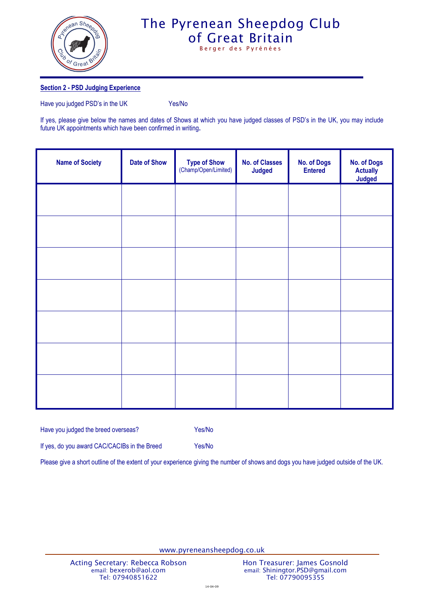

Berger des Pyrénées

#### **Section 2 - PSD Judging Experience**

Have you judged PSD's in the UK Yes/No

If yes, please give below the names and dates of Shows at which you have judged classes of PSD's in the UK, you may include future UK appointments which have been confirmed in writing**.**

| <b>Name of Society</b> | <b>Date of Show</b> | Type of Show<br>(Champ/Open/Limited) | <b>No. of Classes</b><br><b>Judged</b> | <b>No. of Dogs</b><br><b>Entered</b> | <b>No. of Dogs</b><br><b>Actually</b><br><b>Judged</b> |
|------------------------|---------------------|--------------------------------------|----------------------------------------|--------------------------------------|--------------------------------------------------------|
|                        |                     |                                      |                                        |                                      |                                                        |
|                        |                     |                                      |                                        |                                      |                                                        |
|                        |                     |                                      |                                        |                                      |                                                        |
|                        |                     |                                      |                                        |                                      |                                                        |
|                        |                     |                                      |                                        |                                      |                                                        |
|                        |                     |                                      |                                        |                                      |                                                        |
|                        |                     |                                      |                                        |                                      |                                                        |

Have you judged the breed overseas? Yes/No

If yes, do you award CAC/CACIBs in the Breed Yes/No

Please give a short outline of the extent of your experience giving the number of shows and dogs you have judged outside of the UK.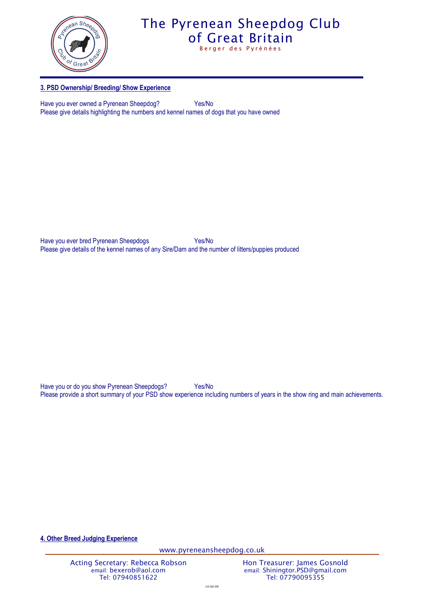

Berger des Pyrénées

### **3. PSD Ownership/ Breeding/ Show Experience**

Have you ever owned a Pyrenean Sheepdog? Yes/No Please give details highlighting the numbers and kennel names of dogs that you have owned

Have you ever bred Pyrenean Sheepdogs Yes/No Please give details of the kennel names of any Sire/Dam and the number of litters/puppies produced

Have you or do you show Pyrenean Sheepdogs? Yes/No Please provide a short summary of your PSD show experience including numbers of years in the show ring and main achievements.

**4. Other Breed Judging Experience**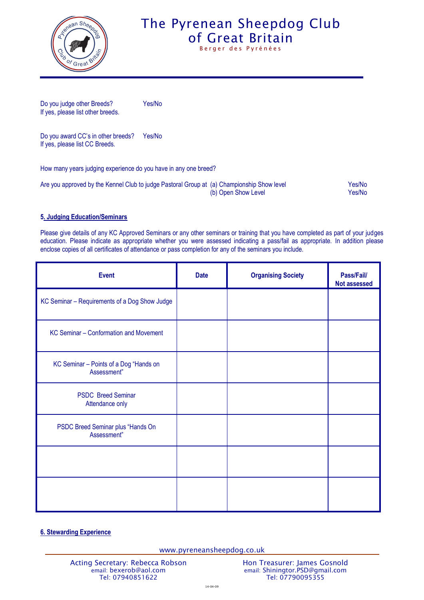

Berger des Pyrénées

Do you judge other Breeds? Yes/No If yes, please list other breeds.

Do you award CC's in other breeds? Yes/No If yes, please list CC Breeds.

How many years judging experience do you have in any one breed?

| Are you approved by the Kennel Club to judge Pastoral Group at (a) Championship Show level | Yes/No |
|--------------------------------------------------------------------------------------------|--------|
| (b) Open Show Level                                                                        | Yes/No |

### **5. Judging Education/Seminars**

Please give details of any KC Approved Seminars or any other seminars or training that you have completed as part of your judges education. Please indicate as appropriate whether you were assessed indicating a pass/fail as appropriate. In addition please enclose copies of all certificates of attendance or pass completion for any of the seminars you include.

| <b>Event</b>                                          | <b>Date</b> | <b>Organising Society</b> | Pass/Fail/<br><b>Not assessed</b> |
|-------------------------------------------------------|-------------|---------------------------|-----------------------------------|
| KC Seminar - Requirements of a Dog Show Judge         |             |                           |                                   |
| KC Seminar - Conformation and Movement                |             |                           |                                   |
| KC Seminar - Points of a Dog "Hands on<br>Assessment" |             |                           |                                   |
| <b>PSDC</b> Breed Seminar<br>Attendance only          |             |                           |                                   |
| PSDC Breed Seminar plus "Hands On<br>Assessment"      |             |                           |                                   |
|                                                       |             |                           |                                   |
|                                                       |             |                           |                                   |

### **6. Stewarding Experience**